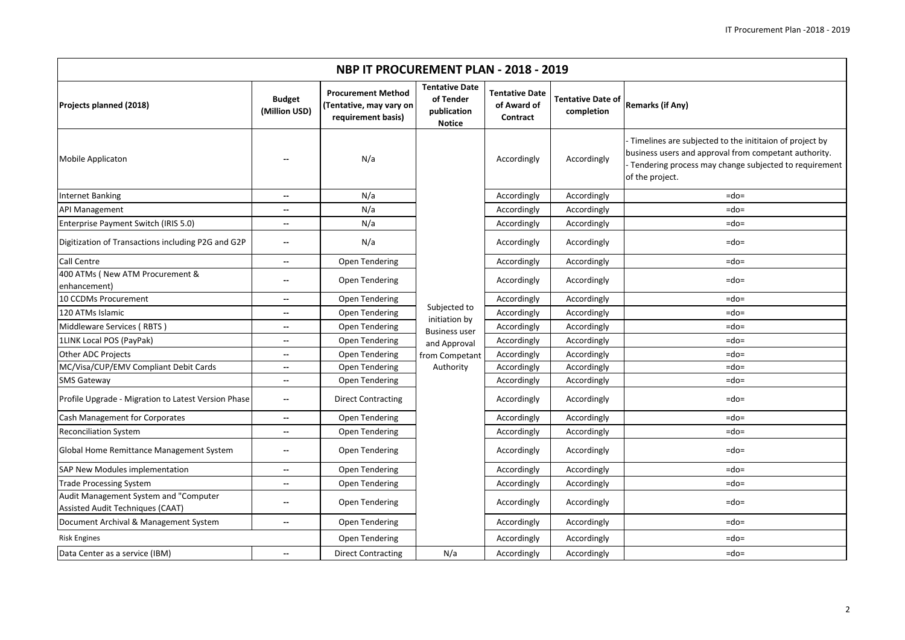| NBP IT PROCUREMENT PLAN - 2018 - 2019                                     |                                |                                                                            |                                                                                                      |                                                  |                                        |                                                                                                                                                                                              |  |  |  |
|---------------------------------------------------------------------------|--------------------------------|----------------------------------------------------------------------------|------------------------------------------------------------------------------------------------------|--------------------------------------------------|----------------------------------------|----------------------------------------------------------------------------------------------------------------------------------------------------------------------------------------------|--|--|--|
| Projects planned (2018)                                                   | <b>Budget</b><br>(Million USD) | <b>Procurement Method</b><br>(Tentative, may vary on<br>requirement basis) | <b>Tentative Date</b><br>of Tender<br>publication<br><b>Notice</b>                                   | <b>Tentative Date</b><br>of Award of<br>Contract | <b>Tentative Date of</b><br>completion | <b>Remarks (if Any)</b>                                                                                                                                                                      |  |  |  |
| Mobile Applicaton                                                         |                                | N/a                                                                        | Subjected to<br>initiation by<br><b>Business user</b><br>and Approval<br>from Competant<br>Authority | Accordingly                                      | Accordingly                            | Timelines are subjected to the inititaion of project by<br>business users and approval from competant authority.<br>Tendering process may change subjected to requirement<br>of the project. |  |  |  |
| <b>Internet Banking</b>                                                   | --                             | N/a                                                                        |                                                                                                      | Accordingly                                      | Accordingly                            | $=$ do $=$                                                                                                                                                                                   |  |  |  |
| <b>API Management</b>                                                     | --                             | N/a                                                                        |                                                                                                      | Accordingly                                      | Accordingly                            | $=$ do $=$                                                                                                                                                                                   |  |  |  |
| Enterprise Payment Switch (IRIS 5.0)                                      | --                             | N/a                                                                        |                                                                                                      | Accordingly                                      | Accordingly                            | $=$ do $=$                                                                                                                                                                                   |  |  |  |
| Digitization of Transactions including P2G and G2P                        | --                             | N/a                                                                        |                                                                                                      | Accordingly                                      | Accordingly                            | $=$ do $=$                                                                                                                                                                                   |  |  |  |
| Call Centre                                                               | $\overline{\phantom{a}}$       | Open Tendering                                                             |                                                                                                      | Accordingly                                      | Accordingly                            | $=$ do $=$                                                                                                                                                                                   |  |  |  |
| 400 ATMs ( New ATM Procurement &<br>enhancement)                          |                                | Open Tendering                                                             |                                                                                                      | Accordingly                                      | Accordingly                            | $=$ do $=$                                                                                                                                                                                   |  |  |  |
| 10 CCDMs Procurement                                                      | --                             | Open Tendering                                                             |                                                                                                      | Accordingly                                      | Accordingly                            | $=$ do $=$                                                                                                                                                                                   |  |  |  |
| 120 ATMs Islamic                                                          | --                             | Open Tendering                                                             |                                                                                                      | Accordingly                                      | Accordingly                            | $=$ do $=$                                                                                                                                                                                   |  |  |  |
| Middleware Services (RBTS)                                                | $\overline{\phantom{a}}$       | Open Tendering                                                             |                                                                                                      | Accordingly                                      | Accordingly                            | $=$ do $=$                                                                                                                                                                                   |  |  |  |
| 1LINK Local POS (PayPak)                                                  | --                             | Open Tendering                                                             |                                                                                                      | Accordingly                                      | Accordingly                            | $=$ do $=$                                                                                                                                                                                   |  |  |  |
| Other ADC Projects                                                        | $\overline{\phantom{a}}$       | Open Tendering                                                             |                                                                                                      | Accordingly                                      | Accordingly                            | $=$ do $=$                                                                                                                                                                                   |  |  |  |
| MC/Visa/CUP/EMV Compliant Debit Cards                                     | --                             | Open Tendering                                                             |                                                                                                      | Accordingly                                      | Accordingly                            | $=$ do $=$                                                                                                                                                                                   |  |  |  |
| <b>SMS Gateway</b>                                                        | --                             | Open Tendering                                                             |                                                                                                      | Accordingly                                      | Accordingly                            | $=$ do $=$                                                                                                                                                                                   |  |  |  |
| Profile Upgrade - Migration to Latest Version Phase                       | $\overline{\phantom{a}}$       | <b>Direct Contracting</b>                                                  |                                                                                                      | Accordingly                                      | Accordingly                            | $=$ do $=$                                                                                                                                                                                   |  |  |  |
| Cash Management for Corporates                                            | --                             | Open Tendering                                                             |                                                                                                      | Accordingly                                      | Accordingly                            | $=$ do $=$                                                                                                                                                                                   |  |  |  |
| Reconciliation System                                                     | --                             | Open Tendering                                                             |                                                                                                      | Accordingly                                      | Accordingly                            | $=$ do $=$                                                                                                                                                                                   |  |  |  |
| Global Home Remittance Management System                                  | --                             | Open Tendering                                                             |                                                                                                      | Accordingly                                      | Accordingly                            | $=$ do $=$                                                                                                                                                                                   |  |  |  |
| SAP New Modules implementation                                            | --                             | Open Tendering                                                             |                                                                                                      | Accordingly                                      | Accordingly                            | $=$ do $=$                                                                                                                                                                                   |  |  |  |
| <b>Trade Processing System</b>                                            | --                             | Open Tendering                                                             |                                                                                                      | Accordingly                                      | Accordingly                            | $=$ do $=$                                                                                                                                                                                   |  |  |  |
| Audit Management System and "Computer<br>Assisted Audit Techniques (CAAT) | --                             | Open Tendering                                                             |                                                                                                      | Accordingly                                      | Accordingly                            | $=$ do $=$                                                                                                                                                                                   |  |  |  |
| Document Archival & Management System                                     | $\overline{\phantom{a}}$       | Open Tendering                                                             |                                                                                                      | Accordingly                                      | Accordingly                            | $=$ do $=$                                                                                                                                                                                   |  |  |  |
| <b>Risk Engines</b>                                                       |                                | Open Tendering                                                             |                                                                                                      | Accordingly                                      | Accordingly                            | $=$ do $=$                                                                                                                                                                                   |  |  |  |
| Data Center as a service (IBM)                                            | $\overline{\phantom{a}}$       | <b>Direct Contracting</b>                                                  | N/a                                                                                                  | Accordingly                                      | Accordingly                            | $=$ do $=$                                                                                                                                                                                   |  |  |  |